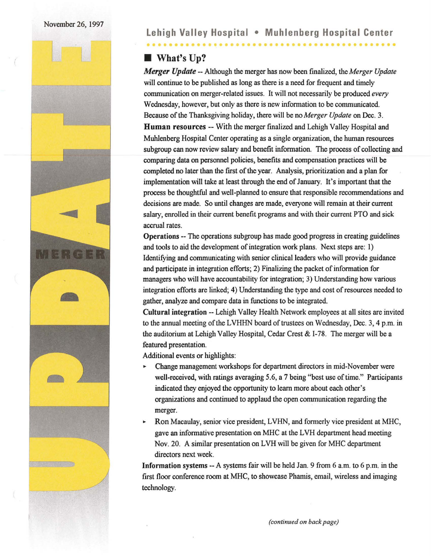

<u>...................</u>

# **• What's Up?**

*Merger Update--* Although the merger has now been finalized, the *Merger Update*  will continue to be published as long as there is a need for frequent and timely communication on merger-related issues. It will not necessarily be produced *every*  Wednesday, however, but only as there is new information to be communicated. Because of the Thanksgiving holiday, there will be no *Merger Update* on Dec. 3. Human resources -- With the merger fmalized and Lehigh Valley Hospital and Muhlenberg Hospital Center operating as a single organization, the human resources subgroup can now review salary and benefit information. The process of collecting and comparing data on personnel policies, benefits and compensation practices will be completed no later than the first of the year. Analysis, prioritization and a plan for implementation will take at least through the end of January. It's important that the process be thoughtful and well-planned to ensure that responsible recommendations and decisions are made. So until changes are made, everyone will remain at their current salary, enrolled in their current benefit programs and with their current PTO and sick accrual rates.

Operations -- The operations subgroup has made good progress in creating guidelines and tools to aid the development of integration work plans. Next steps are: 1) Identifying and communicating with senior clinical leaders who will provide guidance and participate in integration efforts; 2) Finalizing the packet of information for managers who will have accountability for integration; 3) Understanding how various integration efforts are linked; 4) Understanding the type and cost of resources needed to gather, analyze and compare data in functions to be integrated.

Cultural integration-- Lehigh Valley Health Network employees at all sites are invited to the annual meeting of the LVHHN board of trustees on Wednesday, Dec. 3, 4 p.m. in the auditorium at Lehigh Valley Hospital, Cedar Crest & 1-78. The merger will be a featured presentation.

Additional events or highlights:

- ... Change management workshops for department directors in mid-November were well-received, with ratings averaging 5.6, a 7 being "best use of time." Participants indicated they enjoyed the opportunity to learn more about each other's organizations and continued to applaud the open communication regarding the merger.
- ... Ron Macaulay, senior vice president, LVHN, and formerly vice president at MHC, gave an informative presentation on MHC at the LVH department head meeting Nov. 20. A similar presentation on LVH will be given for MHC department directors next week.

Information systems --A systems fair will be held Jan. 9 from 6 a.m. to 6 p.m. in the first floor conference room at MHC, to showcase Phamis, email, wireless and imaging technology.